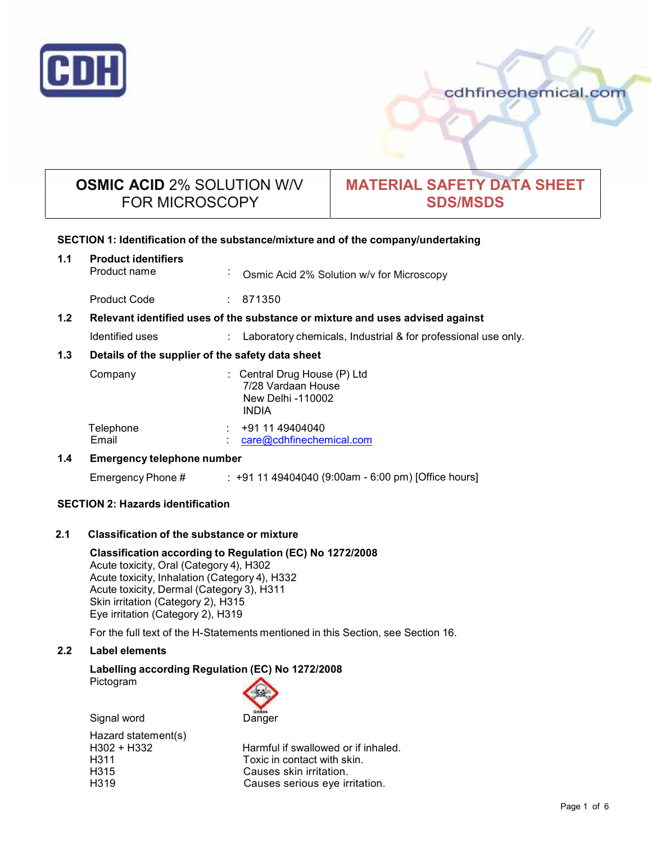

cdhfinechemical.com

# **OSMIC ACID** 2% SOLUTION W/V FOR MICROSCOPY

# **MATERIAL SAFETY DATA SHEET SDS/MSDS**

## **SECTION 1: Identification of the substance/mixture and of the company/undertaking**

| 1.1              | <b>Product identifiers</b><br>Product name                                    | Osmic Acid 2% Solution w/v for Microscopy<br>ä.                                       |  |
|------------------|-------------------------------------------------------------------------------|---------------------------------------------------------------------------------------|--|
|                  | <b>Product Code</b>                                                           | : 871350                                                                              |  |
| 1.2 <sub>2</sub> | Relevant identified uses of the substance or mixture and uses advised against |                                                                                       |  |
|                  | Identified uses                                                               | Laboratory chemicals, Industrial & for professional use only.                         |  |
| 1.3              | Details of the supplier of the safety data sheet                              |                                                                                       |  |
|                  | Company                                                                       | Central Drug House (P) Ltd<br>7/28 Vardaan House<br>New Delhi -110002<br><b>INDIA</b> |  |
|                  | Telephone<br>Email                                                            | +91 11 49404040<br>care@cdhfinechemical.com                                           |  |
| 1.4              | Emergency telephone number                                                    |                                                                                       |  |

# Emergency Phone # : +91 11 49404040 (9:00am - 6:00 pm) [Office hours]

## **SECTION 2: Hazards identification**

## **2.1 Classification of the substance ormixture**

**Classification according to Regulation (EC) No 1272/2008** Acute toxicity, Oral (Category 4), H302 Acute toxicity, Inhalation (Category 4), H332 Acute toxicity, Dermal (Category 3), H311 Skin irritation (Category 2), H315 Eye irritation (Category 2), H319

For the full text of the H-Statements mentioned in this Section, see Section 16.

## **2.2 Label elements**

#### **Labelling according Regulation (EC) No 1272/2008** Pictogram

Signal word Danger

| Hazard statement(s) |                                     |
|---------------------|-------------------------------------|
| H302 + H332         | Harmful if swallowed or if inhaled. |
| H311                | Toxic in contact with skin.         |
| H315                | Causes skin irritation.             |
| H319                | Causes serious eye irritation.      |
|                     |                                     |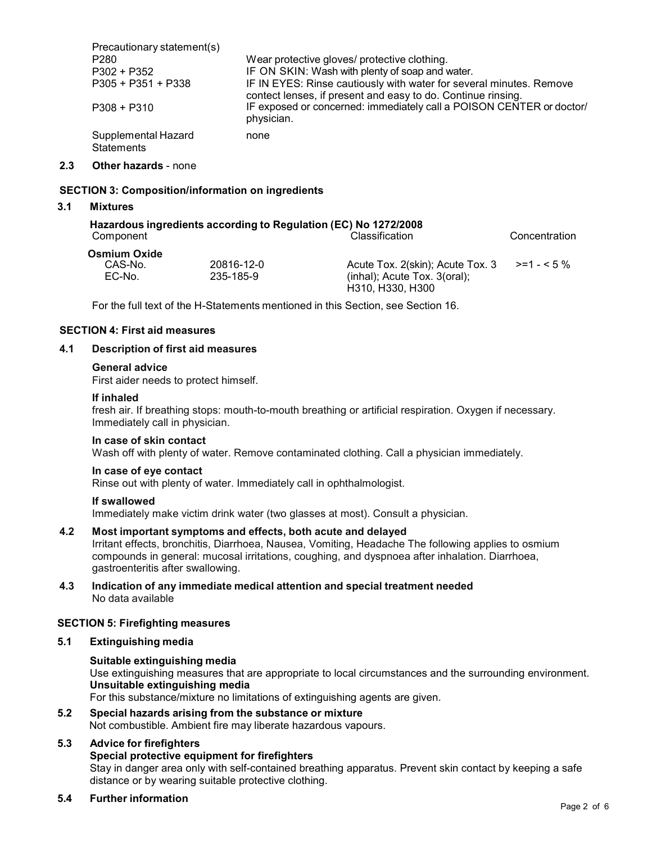| Precautionary statement(s)               |                                                                                                                                     |
|------------------------------------------|-------------------------------------------------------------------------------------------------------------------------------------|
| P <sub>280</sub>                         | Wear protective gloves/ protective clothing.                                                                                        |
| P302 + P352                              | IF ON SKIN: Wash with plenty of soap and water.                                                                                     |
| P305 + P351 + P338                       | IF IN EYES: Rinse cautiously with water for several minutes. Remove<br>contect lenses, if present and easy to do. Continue rinsing. |
| $P308 + P310$                            | IF exposed or concerned: immediately call a POISON CENTER or doctor/<br>physician.                                                  |
| Supplemental Hazard<br><b>Statements</b> | none                                                                                                                                |

#### **2.3 Other hazards** - none

#### **SECTION 3: Composition/information on ingredients**

#### **3.1 Mixtures**

| Hazardous ingredients according to Regulation (EC) No 1272/2008 |                |               |  |  |  |
|-----------------------------------------------------------------|----------------|---------------|--|--|--|
| Component                                                       | Classification | Concentration |  |  |  |

| Osmium Oxide |            |                                                    |  |
|--------------|------------|----------------------------------------------------|--|
| CAS-No.      | 20816-12-0 | Acute Tox. 2(skin); Acute Tox. 3 $\ge$ =1 - < 5 %  |  |
| EC-No.       | 235-185-9  | $(inhal)$ ; Acute Tox. 3(oral);                    |  |
|              |            | H <sub>310</sub> H <sub>330</sub> H <sub>300</sub> |  |

For the full text of the H-Statements mentioned in this Section, see Section 16.

#### **SECTION 4: First aid measures**

#### **4.1 Description of first aid measures**

#### **General advice**

First aider needs to protect himself.

#### **If inhaled**

fresh air. If breathing stops: mouth-to-mouth breathing or artificial respiration. Oxygen if necessary. Immediately call in physician.

#### **In case of skin contact**

Wash off with plenty of water. Remove contaminated clothing. Call a physician immediately.

#### **In case of eye contact**

Rinse out with plenty of water. Immediately call in ophthalmologist.

#### **If swallowed**

Immediately make victim drink water (two glasses at most). Consult a physician.

#### **4.2 Most important symptoms and effects, both acute and delayed**

Irritant effects, bronchitis, Diarrhoea, Nausea, Vomiting, Headache The following applies to osmium compounds in general: mucosal irritations, coughing, and dyspnoea after inhalation. Diarrhoea, gastroenteritis after swallowing.

**4.3 Indication of any immediate medical attention and special treatment needed** No data available

#### **SECTION 5: Firefighting measures**

#### **5.1 Extinguishing media**

#### **Suitable extinguishing media**

Use extinguishing measures that are appropriate to local circumstances and the surrounding environment. **Unsuitable extinguishing media**

For this substance/mixture no limitations of extinguishing agents are given.

#### **5.2 Special hazards arising from the substance ormixture** Not combustible. Ambient fire may liberate hazardous vapours.

# **5.3 Advice for firefighters**

#### **Special protective equipment for firefighters**

Stay in danger area only with self-contained breathing apparatus. Prevent skin contact by keeping a safe distance or by wearing suitable protective clothing.

#### **5.4 Further information**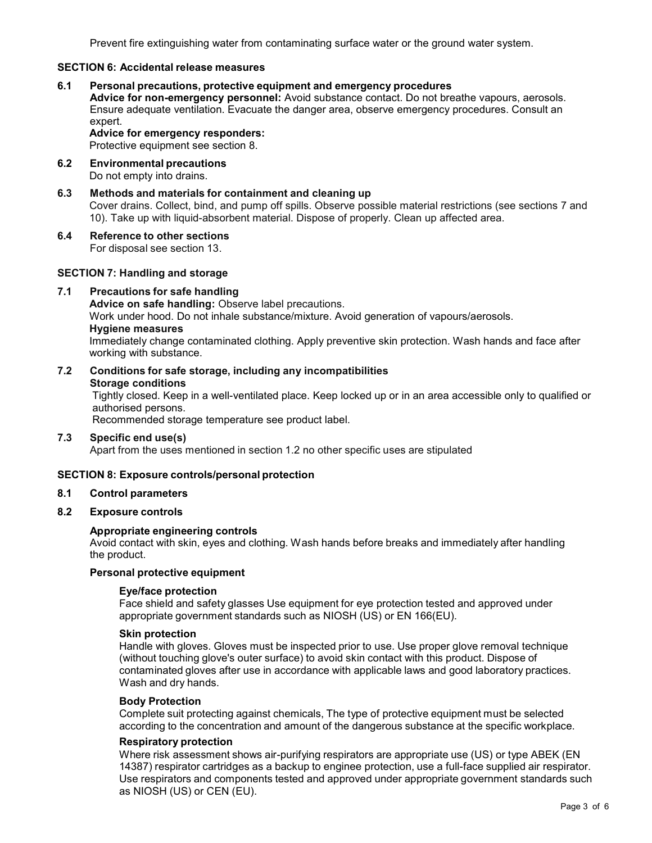Prevent fire extinguishing water from contaminating surface water or the ground water system.

## **SECTION 6: Accidental release measures**

#### **6.1 Personal precautions, protective equipment and emergency procedures**

**Advice for non-emergency personnel:** Avoid substance contact. Do not breathe vapours, aerosols. Ensure adequate ventilation. Evacuate the danger area, observe emergency procedures. Consult an expert.

#### **Advice for emergency responders:**

Protective equipment see section 8.

- **6.2 Environmental precautions** Do not empty into drains.
- **6.3 Methods and materials for containment and cleaning up** Cover drains. Collect, bind, and pump off spills. Observe possible material restrictions (see sections 7 and 10). Take up with liquid-absorbent material. Dispose of properly. Clean up affected area.

## **6.4 Reference to other sections**

For disposal see section 13.

#### **SECTION 7: Handling and storage**

**7.1 Precautions for safe handling**

**Advice on safe handling:** Observe label precautions. Work under hood. Do not inhale substance/mixture. Avoid generation of vapours/aerosols. **Hygiene measures** Immediately change contaminated clothing. Apply preventive skin protection. Wash hands and face after working with substance.

**7.2 Conditions for safe storage, including any incompatibilities Storage conditions** Tightly closed. Keep in a well-ventilated place. Keep locked up or in an area accessible only to qualified or authorised persons.

Recommended storage temperature see product label.

**7.3 Specific end use(s)** Apart from the uses mentioned in section 1.2 no other specific uses are stipulated

#### **SECTION 8: Exposure controls/personal protection**

#### **8.1 Control parameters**

#### **8.2 Exposure controls**

#### **Appropriate engineering controls**

Avoid contact with skin, eyes and clothing. Wash hands before breaks and immediately after handling the product.

#### **Personal protective equipment**

#### **Eye/face protection**

Face shield and safety glasses Use equipment for eye protection tested and approved under appropriate government standards such as NIOSH (US) or EN 166(EU).

## **Skin protection**

Handle with gloves. Gloves must be inspected prior to use. Use proper glove removal technique (without touching glove's outer surface) to avoid skin contact with this product. Dispose of contaminated gloves after use in accordance with applicable laws and good laboratory practices. Wash and dry hands.

#### **Body Protection**

Complete suit protecting against chemicals, The type of protective equipment must be selected according to the concentration and amount of the dangerous substance at the specific workplace.

#### **Respiratory protection**

Where risk assessment shows air-purifying respirators are appropriate use (US) or type ABEK (EN 14387) respirator cartridges as a backup to enginee protection, use a full-face supplied air respirator. Use respirators and components tested and approved under appropriate government standards such as NIOSH (US) or CEN (EU).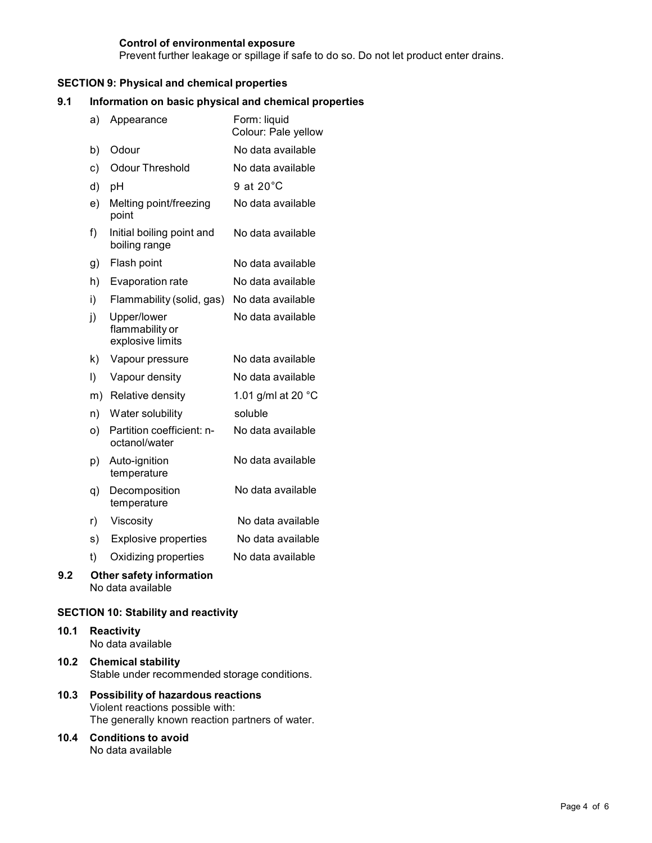## **Control of environmental exposure**

Prevent further leakage or spillage if safe to do so. Do not let product enter drains.

## **SECTION 9: Physical and chemical properties**

#### **9.1 Information on basic physical and chemical properties**

|     | a)      | Appearance                                           | Form: liquid<br>Colour: Pale yellow |
|-----|---------|------------------------------------------------------|-------------------------------------|
|     | b)      | Odour                                                | No data available                   |
|     | c)      | <b>Odour Threshold</b>                               | No data available                   |
|     | d)      | pH                                                   | 9 at $20^{\circ}$ C                 |
|     | e)      | Melting point/freezing<br>point                      | No data available                   |
|     | f)      | Initial boiling point and<br>boiling range           | No data available                   |
|     | g)      | Flash point                                          | No data available                   |
|     | h)      | Evaporation rate                                     | No data available                   |
|     | i)      | Flammability (solid, gas)                            | No data available                   |
|     | j)      | Upper/lower<br>flammability or<br>explosive limits   | No data available                   |
|     | k)      | Vapour pressure                                      | No data available                   |
|     | $\vert$ | Vapour density                                       | No data available                   |
|     |         | m) Relative density                                  | 1.01 g/ml at 20 °C                  |
|     | n)      | Water solubility                                     | soluble                             |
|     | O)      | Partition coefficient: n-<br>octanol/water           | No data available                   |
|     | p)      | Auto-ignition<br>temperature                         | No data available                   |
|     | q)      | Decomposition<br>temperature                         | No data available                   |
|     | r)      | Viscosity                                            | No data available                   |
|     | s)      | <b>Explosive properties</b>                          | No data available                   |
|     | t)      | Oxidizing properties                                 | No data available                   |
| 9.2 |         | <b>Other safety information</b><br>No data available |                                     |

#### **SECTION 10: Stability and reactivity**

- **10.1 Reactivity** No data available
- **10.2 Chemical stability** Stable under recommended storage conditions.
- **10.3 Possibility of hazardous reactions** Violent reactions possible with: The generally known reaction partners of water.
- **10.4 Conditions to avoid** No data available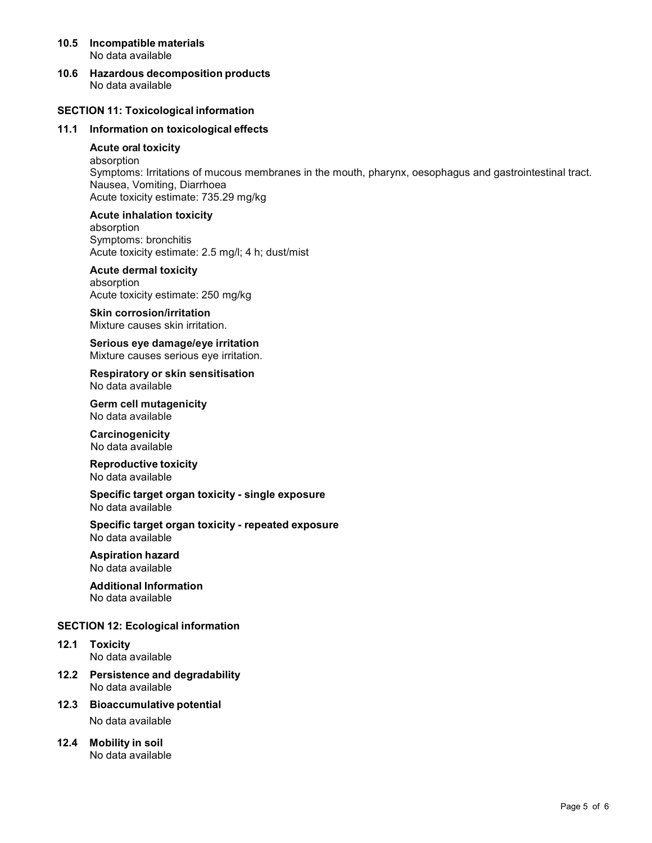#### **10.5 Incompatible materials** No data available

**10.6 Hazardous decomposition products** No data available

## **SECTION 11: Toxicological information**

## **11.1 Information on toxicological effects**

#### **Acute oral toxicity**

absorption Symptoms: Irritations of mucous membranes in the mouth, pharynx, oesophagus and gastrointestinal tract. Nausea, Vomiting, Diarrhoea Acute toxicity estimate: 735.29 mg/kg

#### **Acute inhalation toxicity**

absorption Symptoms: bronchitis Acute toxicity estimate: 2.5 mg/l; 4 h; dust/mist

## **Acute dermal toxicity**

absorption Acute toxicity estimate: 250 mg/kg

**Skin corrosion/irritation** Mixture causes skin irritation.

**Serious eye damage/eye irritation** Mixture causes serious eye irritation.

**Respiratory orskin sensitisation** No data available

**Germ cell mutagenicity** No data available

**Carcinogenicity** No data available

**Reproductive toxicity** No data available

#### **Specific target organ toxicity - single exposure** No data available

**Specific target organ toxicity - repeated exposure** No data available

#### **Aspiration hazard**

No data available

# **Additional Information**

No data available

## **SECTION 12: Ecological information**

- **12.1 Toxicity** No data available
- **12.2 Persistence and degradability** No data available
- **12.3 Bioaccumulative potential**

No data available

#### **12.4 Mobility in soil** No data available